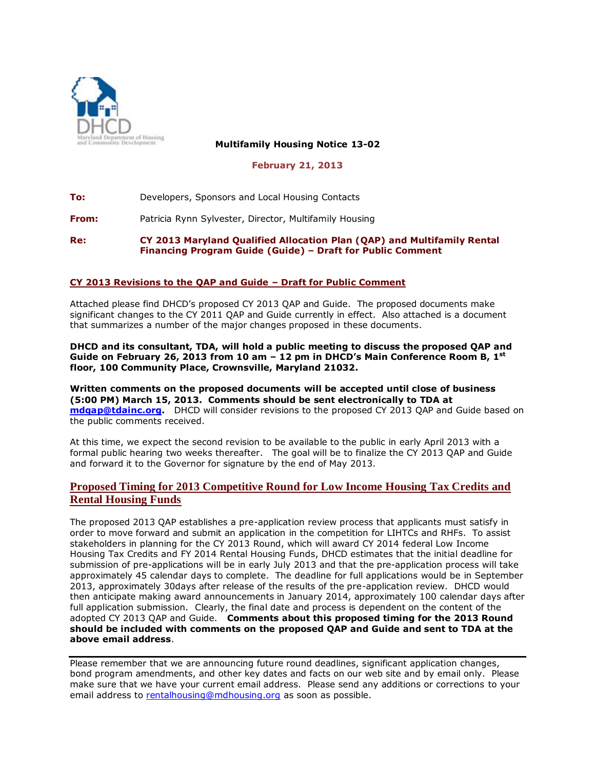

**Multifamily Housing Notice 13-02**

**February 21, 2013**

**To:** Developers, Sponsors and Local Housing Contacts

**From:** Patricia Rynn Sylvester, Director, Multifamily Housing

**Re: CY 2013 Maryland Qualified Allocation Plan (QAP) and Multifamily Rental Financing Program Guide (Guide) – Draft for Public Comment**

## **CY 2013 Revisions to the QAP and Guide – Draft for Public Comment**

Attached please find DHCD's proposed CY 2013 QAP and Guide. The proposed documents make significant changes to the CY 2011 QAP and Guide currently in effect. Also attached is a document that summarizes a number of the major changes proposed in these documents.

**DHCD and its consultant, TDA, will hold a public meeting to discuss the proposed QAP and Guide on February 26, 2013 from 10 am – 12 pm in DHCD's Main Conference Room B, 1st floor, 100 Community Place, Crownsville, Maryland 21032.** 

**Written comments on the proposed documents will be accepted until close of business (5:00 PM) March 15, 2013. Comments should be sent electronically to TDA at [mdqap@tdainc.org.](mailto:mdqap@tdainc.org)** DHCD will consider revisions to the proposed CY 2013 QAP and Guide based on the public comments received.

At this time, we expect the second revision to be available to the public in early April 2013 with a formal public hearing two weeks thereafter. The goal will be to finalize the CY 2013 QAP and Guide and forward it to the Governor for signature by the end of May 2013.

## **Proposed Timing for 2013 Competitive Round for Low Income Housing Tax Credits and Rental Housing Funds**

The proposed 2013 QAP establishes a pre-application review process that applicants must satisfy in order to move forward and submit an application in the competition for LIHTCs and RHFs. To assist stakeholders in planning for the CY 2013 Round, which will award CY 2014 federal Low Income Housing Tax Credits and FY 2014 Rental Housing Funds, DHCD estimates that the initial deadline for submission of pre-applications will be in early July 2013 and that the pre-application process will take approximately 45 calendar days to complete. The deadline for full applications would be in September 2013, approximately 30days after release of the results of the pre-application review. DHCD would then anticipate making award announcements in January 2014, approximately 100 calendar days after full application submission. Clearly, the final date and process is dependent on the content of the adopted CY 2013 QAP and Guide. **Comments about this proposed timing for the 2013 Round should be included with comments on the proposed QAP and Guide and sent to TDA at the above email address**.

Please remember that we are announcing future round deadlines, significant application changes, bond program amendments, and other key dates and facts on our web site and by email only. Please make sure that we have your current email address. Please send any additions or corrections to your email address to [rentalhousing@mdhousing.org](mailto:rentalhousing@mdhousing.org) as soon as possible.